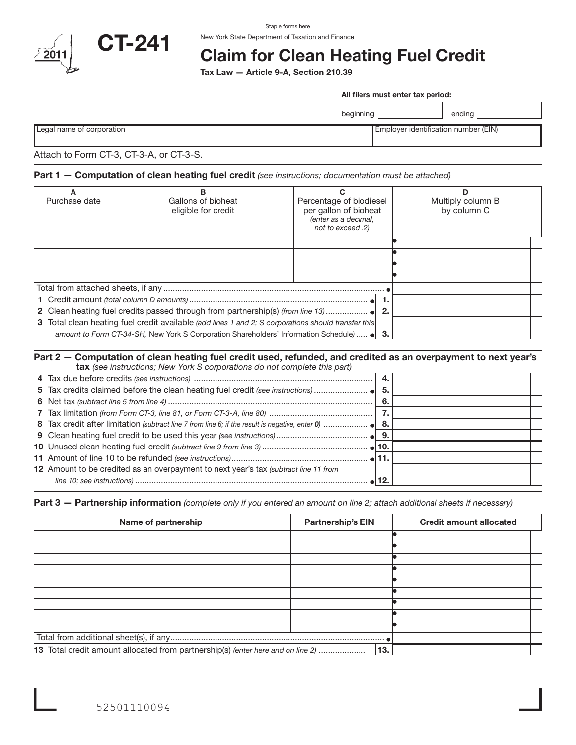

#### New York State Department of Taxation and Finance Staple forms here

# Claim for Clean Heating Fuel Credit

Tax Law — Article 9-A, Section 210.39

|                                         | All filers must enter tax period:    |  |  |
|-----------------------------------------|--------------------------------------|--|--|
|                                         | endina l<br>beginning                |  |  |
| Legal name of corporation               | Employer identification number (EIN) |  |  |
| Attach to Form CT-3, CT-3-A, or CT-3-S. |                                      |  |  |

## Part 1 — Computation of clean heating fuel credit *(see instructions; documentation must be attached)*

|               | в                                                                                                   | С                                                                                             |    | D                                |
|---------------|-----------------------------------------------------------------------------------------------------|-----------------------------------------------------------------------------------------------|----|----------------------------------|
| Purchase date | Gallons of bioheat<br>eligible for credit                                                           | Percentage of biodiesel<br>per gallon of bioheat<br>(enter as a decimal,<br>not to exceed .2) |    | Multiply column B<br>by column C |
|               |                                                                                                     |                                                                                               |    |                                  |
|               |                                                                                                     |                                                                                               |    |                                  |
|               |                                                                                                     |                                                                                               |    |                                  |
|               |                                                                                                     |                                                                                               |    |                                  |
|               |                                                                                                     |                                                                                               |    |                                  |
|               |                                                                                                     |                                                                                               |    |                                  |
|               |                                                                                                     |                                                                                               | 2. |                                  |
|               | 3 Total clean heating fuel credit available (add lines 1 and 2; S corporations should transfer this |                                                                                               |    |                                  |
|               | amount to Form CT-34-SH, New York S Corporation Shareholders' Information Schedule) $\bullet$ 3.    |                                                                                               |    |                                  |

#### Part 2 – Computation of clean heating fuel credit used, refunded, and credited as an overpayment to next year's tax *(see instructions; New York S corporations do not complete this part)*

|                                                                                      | - 6. |  |
|--------------------------------------------------------------------------------------|------|--|
|                                                                                      |      |  |
|                                                                                      |      |  |
|                                                                                      |      |  |
|                                                                                      |      |  |
|                                                                                      |      |  |
| 12 Amount to be credited as an overpayment to next year's tax (subtract line 11 from |      |  |
|                                                                                      |      |  |
|                                                                                      |      |  |

Part 3 — Partnership information *(complete only if you entered an amount on line 2; attach additional sheets if necessary)*

| Name of partnership                                                             | <b>Partnership's EIN</b> | <b>Credit amount allocated</b> |
|---------------------------------------------------------------------------------|--------------------------|--------------------------------|
|                                                                                 |                          |                                |
|                                                                                 |                          |                                |
|                                                                                 |                          |                                |
|                                                                                 |                          |                                |
|                                                                                 |                          |                                |
|                                                                                 |                          |                                |
|                                                                                 |                          |                                |
|                                                                                 |                          |                                |
|                                                                                 |                          |                                |
|                                                                                 |                          |                                |
| 13 Total credit amount allocated from partnership(s) (enter here and on line 2) | 13.                      |                                |